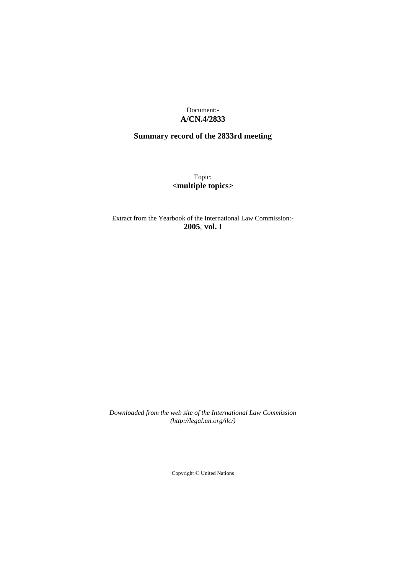Document:- **A/CN.4/2833**

# **Summary record of the 2833rd meeting**

Topic: **<multiple topics>**

Extract from the Yearbook of the International Law Commission:- **2005**, **vol. I**

*Downloaded from the web site of the International Law Commission (http://legal.un.org/ilc/)*

Copyright © United Nations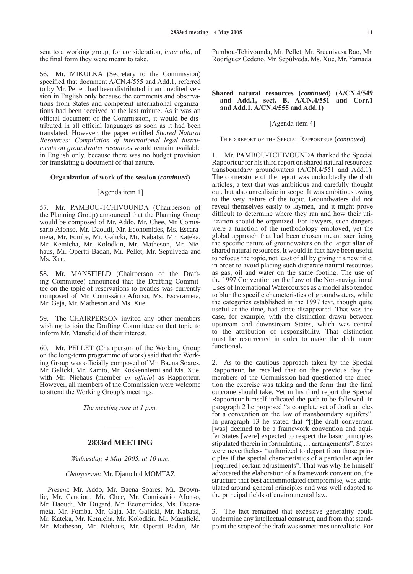sent to a working group, for consideration, *inter alia*, of the final form they were meant to take.

56. Mr. MIKULKA (Secretary to the Commission) specified that document A/CN.4/555 and Add.1, referred to by Mr. Pellet, had been distributed in an unedited version in English only because the comments and observations from States and competent international organizations had been received at the last minute. As it was an official document of the Commission, it would be distributed in all official languages as soon as it had been translated. However, the paper entitled *Shared Natural Resources: Compilation of international legal instruments on groundwater resources* would remain available in English only, because there was no budget provision for translating a document of that nature.

#### **Organization of work of the session (***continued***)**

#### [Agenda item 1]

57. Mr. PAMBOU-TCHIVOUNDA (Chairperson of the Planning Group) announced that the Planning Group would be composed of Mr. Addo, Mr. Chee, Mr. Comissário Afonso, Mr. Daoudi, Mr. Economides, Ms. Escarameia, Mr. Fomba, Mr. Galicki, Mr. Kabatsi, Mr. Kateka, Mr. Kemicha, Mr. Kolodkin, Mr. Matheson, Mr. Niehaus, Mr. Opertti Badan, Mr. Pellet, Mr. Sepúlveda and Ms. Xue.

58. Mr. MANSFIELD (Chairperson of the Drafting Committee) announced that the Drafting Committee on the topic of reservations to treaties was currently composed of Mr. Comissário Afonso, Ms. Escarameia, Mr. Gaja, Mr. Matheson and Ms. Xue.

59. The CHAIRPERSON invited any other members wishing to join the Drafting Committee on that topic to inform Mr. Mansfield of their interest.

60. Mr. PELLET (Chairperson of the Working Group on the long-term programme of work) said that the Working Group was officially composed of Mr. Baena Soares, Mr. Galicki, Mr. Kamto, Mr. Koskenniemi and Ms. Xue, with Mr. Niehaus (member *ex officio*) as Rapporteur. However, all members of the Commission were welcome to attend the Working Group's meetings.

*The meeting rose at 1 p.m.*

## **2833rd MEETING**

*Wednesday, 4 May 2005, at 10 a.m.*

#### *Chairperson:* Mr. Djamchid MOMTAZ

*Present*: Mr. Addo, Mr. Baena Soares, Mr. Brownlie, Mr. Candioti, Mr. Chee, Mr. Comissário Afonso, Mr. Daoudi, Mr. Dugard, Mr. Economides, Ms. Escarameia, Mr. Fomba, Mr. Gaja, Mr. Galicki, Mr. Kabatsi, Mr. Kateka, Mr. Kemicha, Mr. Kolodkin, Mr. Mansfield, Mr. Matheson, Mr. Niehaus, Mr. Opertti Badan, Mr.

Pambou-Tchivounda, Mr. Pellet, Mr. Sreenivasa Rao, Mr. Rodríguez Cedeño, Mr. Sepúlveda, Ms. Xue, Mr. Yamada.

#### **Shared natural resources (***continued***) (A/CN.4/549 and Add.1, sect. B, A/CN.4/551 and Corr.1 and Add.1, A/CN.4/555 and Add.1)**

#### [Agenda item 4]

Third report of the Special Rapporteur (*continued*)

Mr. PAMBOU-TCHIVOUNDA thanked the Special Rapporteur for his third report on shared natural resources: transboundary groundwaters (A/CN.4/551 and Add.1). The cornerstone of the report was undoubtedly the draft articles, a text that was ambitious and carefully thought out, but also unrealistic in scope. It was ambitious owing to the very nature of the topic. Groundwaters did not reveal themselves easily to laymen, and it might prove difficult to determine where they ran and how their utilization should be organized. For lawyers, such dangers were a function of the methodology employed, yet the global approach that had been chosen meant sacrificing the specific nature of groundwaters on the larger altar of shared natural resources. It would in fact have been useful to refocus the topic, not least of all by giving it a new title, in order to avoid placing such disparate natural resources as gas, oil and water on the same footing. The use of the 1997 Convention on the Law of the Non-navigational Uses of International Watercourses as a model also tended to blur the specific characteristics of groundwaters, while the categories established in the 1997 text, though quite useful at the time, had since disappeared. That was the case, for example, with the distinction drawn between upstream and downstream States, which was central to the attribution of responsibility. That distinction must be resurrected in order to make the draft more functional.

2. As to the cautious approach taken by the Special Rapporteur, he recalled that on the previous day the members of the Commission had questioned the direction the exercise was taking and the form that the final outcome should take. Yet in his third report the Special Rapporteur himself indicated the path to be followed. In paragraph 2 he proposed "a complete set of draft articles for a convention on the law of transboundary aquifers". In paragraph 13 he stated that "[t]he draft convention [was] deemed to be a framework convention and aquifer States [were] expected to respect the basic principles stipulated therein in formulating … arrangements". States were nevertheless "authorized to depart from those principles if the special characteristics of a particular aquifer [required] certain adjustments". That was why he himself advocated the elaboration of a framework convention, the structure that best accommodated compromise, was articulated around general principles and was well adapted to the principal fields of environmental law.

3. The fact remained that excessive generality could undermine any intellectual construct, and from that standpoint the scope of the draft was sometimes unrealistic. For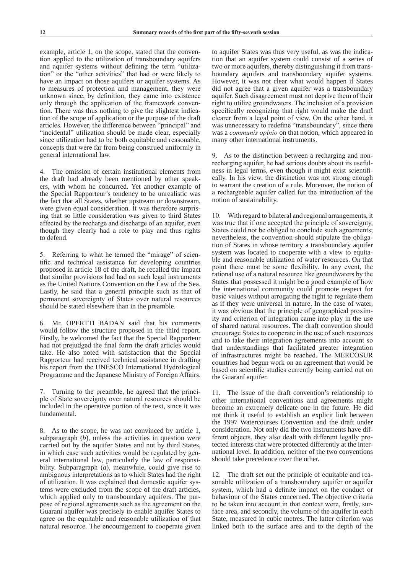example, article 1, on the scope, stated that the convention applied to the utilization of transboundary aquifers and aquifer systems without defining the term "utilization" or the "other activities" that had or were likely to have an impact on those aquifers or aquifer systems. As to measures of protection and management, they were unknown since, by definition, they came into existence only through the application of the framework convention. There was thus nothing to give the slightest indication of the scope of application or the purpose of the draft articles. However, the difference between "principal" and "incidental" utilization should be made clear, especially since utilization had to be both equitable and reasonable, concepts that were far from being construed uniformly in general international law.

4. The omission of certain institutional elements from the draft had already been mentioned by other speakers, with whom he concurred. Yet another example of the Special Rapporteur's tendency to be unrealistic was the fact that all States, whether upstream or downstream, were given equal consideration. It was therefore surprising that so little consideration was given to third States affected by the recharge and discharge of an aquifer, even though they clearly had a role to play and thus rights to defend.

5. Referring to what he termed the "mirage" of scientific and technical assistance for developing countries proposed in article 18 of the draft, he recalled the impact that similar provisions had had on such legal instruments as the United Nations Convention on the Law of the Sea. Lastly, he said that a general principle such as that of permanent sovereignty of States over natural resources should be stated elsewhere than in the preamble.

6. Mr. OPERTTI BADAN said that his comments would follow the structure proposed in the third report. Firstly, he welcomed the fact that the Special Rapporteur had not prejudged the final form the draft articles would take. He also noted with satisfaction that the Special Rapporteur had received technical assistance in drafting his report from the UNESCO International Hydrological Programme and the Japanese Ministry of Foreign Affairs.

7. Turning to the preamble, he agreed that the principle of State sovereignty over natural resources should be included in the operative portion of the text, since it was fundamental.

8. As to the scope, he was not convinced by article 1, subparagraph (*b*), unless the activities in question were carried out by the aquifer States and not by third States, in which case such activities would be regulated by general international law, particularly the law of responsibility. Subparagraph (*a*), meanwhile, could give rise to ambiguous interpretations as to which States had the right of utilization. It was explained that domestic aquifer systems were excluded from the scope of the draft articles, which applied only to transboundary aquifers. The purpose of regional agreements such as the agreement on the Guaraní aquifer was precisely to enable aquifer States to agree on the equitable and reasonable utilization of that natural resource. The encouragement to cooperate given

to aquifer States was thus very useful, as was the indication that an aquifer system could consist of a series of two or more aquifers, thereby distinguishing it from transboundary aquifers and transboundary aquifer systems. However, it was not clear what would happen if States did not agree that a given aquifer was a transboundary aquifer. Such disagreement must not deprive them of their right to utilize groundwaters. The inclusion of a provision specifically recognizing that right would make the draft clearer from a legal point of view. On the other hand, it was unnecessary to redefine "transboundary", since there was a *communis opinio* on that notion, which appeared in many other international instruments.

9. As to the distinction between a recharging and nonrecharging aquifer, he had serious doubts about its usefulness in legal terms, even though it might exist scientifically. In his view, the distinction was not strong enough to warrant the creation of a rule. Moreover, the notion of a rechargeable aquifer called for the introduction of the notion of sustainability.

10. With regard to bilateral and regional arrangements, it was true that if one accepted the principle of sovereignty, States could not be obliged to conclude such agreements; nevertheless, the convention should stipulate the obligation of States in whose territory a transboundary aquifer system was located to cooperate with a view to equitable and reasonable utilization of water resources. On that point there must be some flexibility. In any event, the rational use of a natural resource like groundwaters by the States that possessed it might be a good example of how the international community could promote respect for basic values without arrogating the right to regulate them as if they were universal in nature. In the case of water, it was obvious that the principle of geographical proximity and criterion of integration came into play in the use of shared natural resources. The draft convention should encourage States to cooperate in the use of such resources and to take their integration agreements into account so that understandings that facilitated greater integration of infrastructures might be reached. The MERCOSUR countries had begun work on an agreement that would be based on scientific studies currently being carried out on the Guaraní aquifer.

11. The issue of the draft convention's relationship to other international conventions and agreements might become an extremely delicate one in the future. He did not think it useful to establish an explicit link between the 1997 Watercourses Convention and the draft under consideration. Not only did the two instruments have different objects, they also dealt with different legally protected interests that were protected differently at the international level. In addition, neither of the two conventions should take precedence over the other.

12. The draft set out the principle of equitable and reasonable utilization of a transboundary aquifer or aquifer system, which had a definite impact on the conduct or behaviour of the States concerned. The objective criteria to be taken into account in that context were, firstly, surface area, and secondly, the volume of the aquifer in each State, measured in cubic metres. The latter criterion was linked both to the surface area and to the depth of the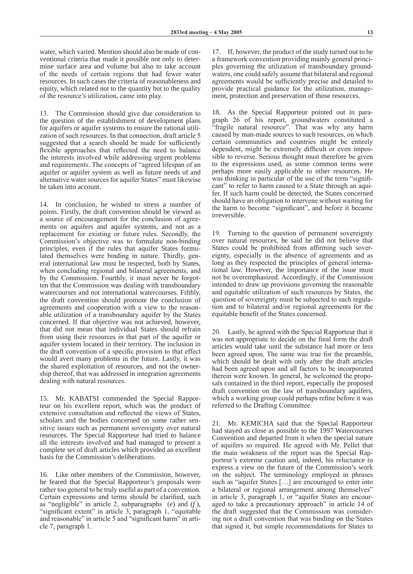water, which varied. Mention should also be made of conventional criteria that made it possible not only to determine surface area and volume but also to take account of the needs of certain regions that had fewer water resources. In such cases the criteria of reasonableness and equity, which related not to the quantity but to the quality of the resource's utilization, came into play.

13. The Commission should give due consideration to the question of the establishment of development plans for aquifers or aquifer systems to ensure the rational utilization of such resources. In that connection, draft article 5 suggested that a search should be made for sufficiently flexible approaches that reflected the need to balance the interests involved while addressing urgent problems and requirements. The concepts of "agreed lifespan of an aquifer or aquifer system as well as future needs of and alternative water sources for aquifer States" must likewise be taken into account.

14. In conclusion, he wished to stress a number of points. Firstly, the draft convention should be viewed as a source of encouragement for the conclusion of agreements on aquifers and aquifer systems, and not as a replacement for existing or future rules. Secondly, the Commission's objective was to formulate non-binding principles, even if the rules that aquifer States formulated themselves were binding in nature. Thirdly, general international law must be respected, both by States, when concluding regional and bilateral agreements, and by the Commission. Fourthly, it must never be forgotten that the Commission was dealing with transboundary watercourses and not international watercourses. Fifthly, the draft convention should promote the conclusion of agreements and cooperation with a view to the reasonable utilization of a transboundary aquifer by the States concerned. If that objective was not achieved, however, that did not mean that individual States should refrain from using their resources in that part of the aquifer or aquifer system located in their territory. The inclusion in the draft convention of a specific provision to that effect would avert many problems in the future. Lastly, it was the shared exploitation of resources, and not the ownership thereof, that was addressed in integration agreements dealing with natural resources.

15. Mr. KABATSI commended the Special Rapporteur on his excellent report, which was the product of extensive consultation and reflected the views of States, scholars and the bodies concerned on some rather sensitive issues such as permanent sovereignty over natural resources. The Special Rapporteur had tried to balance all the interests involved and had managed to present a complete set of draft articles which provided an excellent basis for the Commission's deliberations.

16. Like other members of the Commission, however, he feared that the Special Rapporteur's proposals were rather too general to be truly useful as part of a convention. Certain expressions and terms should be clarified, such as "negligible" in article 2, subparagraphs (*e*) and (*f* ), "significant extent" in article 3, paragraph 1, "equitable and reasonable" in article 5 and "significant harm" in article 7, paragraph 1.

17. If, however, the product of the study turned out to be a framework convention providing mainly general principles governing the utilization of transboundary groundwaters, one could safely assume that bilateral and regional agreements would be sufficiently precise and detailed to provide practical guidance for the utilization, management, protection and preservation of those resources.

18. As the Special Rapporteur pointed out in paragraph 26 of his report, groundwaters constituted a "fragile natural resource". That was why any harm caused by man-made sources to such resources, on which certain communities and countries might be entirely dependent, might be extremely difficult or even impossible to reverse. Serious thought must therefore be given to the expressions used, as some common terms were perhaps more easily applicable to other resources. He was thinking in particular of the use of the term "significant" to refer to harm caused to a State through an aquifer. If such harm could be detected, the States concerned should have an obligation to intervene without waiting for the harm to become "significant", and before it became irreversible.

19. Turning to the question of permanent sovereignty over natural resources, he said he did not believe that States could be prohibited from affirming such sovereignty, especially in the absence of agreements and as long as they respected the principles of general international law. However, the importance of the issue must not be overemphasized. Accordingly, if the Commission intended to draw up provisions governing the reasonable and equitable utilization of such resources by States, the question of sovereignty must be subjected to such regulation and to bilateral and/or regional agreements for the equitable benefit of the States concerned.

20. Lastly, he agreed with the Special Rapporteur that it was not appropriate to decide on the final form the draft articles would take until the substance had more or less been agreed upon. The same was true for the preamble, which should be dealt with only after the draft articles had been agreed upon and all factors to be incorporated therein were known. In general, he welcomed the proposals contained in the third report, especially the proposed draft convention on the law of transboundary aquifers, which a working group could perhaps refine before it was referred to the Drafting Committee.

21. Mr. KEMICHA said that the Special Rapporteur had stayed as close as possible to the 1997 Watercourses Convention and departed from it when the special nature of aquifers so required. He agreed with Mr. Pellet that the main weakness of the report was the Special Rapporteur's extreme caution and, indeed, his reluctance to express a view on the future of the Commission's work on the subject. The terminology employed in phrases such as "aquifer States […] are encouraged to enter into a bilateral or regional arrangement among themselves" in article 3, paragraph 1, or "aquifer States are encouraged to take a precautionary approach" in article 14 of the draft suggested that the Commission was considering not a draft convention that was binding on the States that signed it, but simple recommendations for States to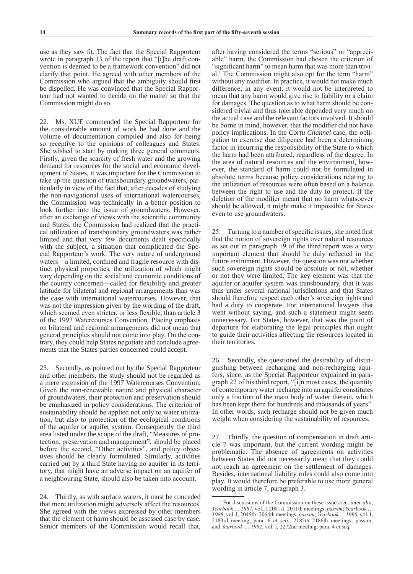use as they saw fit. The fact that the Special Rapporteur wrote in paragraph 13 of the report that "[t]he draft convention is deemed to be a framework convention" did not clarify that point. He agreed with other members of the Commission who argued that the ambiguity should first be dispelled. He was convinced that the Special Rapporteur had not wanted to decide on the matter so that the Commission might do so.

22. Ms. XUE commended the Special Rapporteur for the considerable amount of work he had done and the volume of documentation compiled and also for being so receptive to the opinions of colleagues and States. She wished to start by making three general comments. Firstly, given the scarcity of fresh water and the growing demand for resources for the social and economic development of States, it was important for the Commission to take up the question of transboundary groundwaters, particularly in view of the fact that, after decades of studying the non-navigational uses of international watercourses, the Commission was technically in a better position to look further into the issue of groundwaters. However, after an exchange of views with the scientific community and States, the Commission had realized that the practical utilization of transboundary groundwaters was rather limited and that very few documents dealt specifically with the subject, a situation that complicated the Special Rapporteur's work. The very nature of underground waters—a limited, confined and fragile resource with distinct physical properties, the utilization of which might vary depending on the social and economic conditions of the country concerned—called for flexibility and greater latitude for bilateral and regional arrangements than was the case with international watercourses. However, that was not the impression given by the wording of the draft, which seemed even stricter, or less flexible, than article 3 of the 1997 Watercourses Convention. Placing emphasis on bilateral and regional arrangements did not mean that general principles should not come into play. On the contrary, they could help States negotiate and conclude agreements that the States parties concerned could accept.

23. Secondly, as pointed out by the Special Rapporteur and other members, the study should not be regarded as a mere extension of the 1997 Watercourses Convention. Given the non-renewable nature and physical character of groundwaters, their protection and preservation should be emphasized in policy considerations. The criterion of sustainability should be applied not only to water utilization, but also to protection of the ecological conditions of the aquifer or aquifer system. Consequently the third area listed under the scope of the draft, "Measures of protection, preservation and management", should be placed before the second, "Other activities", and policy objectives should be clearly formulated. Similarly, activities carried out by a third State having no aquifer in its territory, that might have an adverse impact on an aquifer of a neighbouring State, should also be taken into account.

24. Thirdly, as with surface waters, it must be conceded that mere utilization might adversely affect the resources. She agreed with the views expressed by other members that the element of harm should be assessed case by case. Senior members of the Commission would recall that,

after having considered the terms "serious" or "appreciable" harm, the Commission had chosen the criterion of "significant harm" to mean harm that was more than trivial.1 The Commission might also opt for the term "harm" without any modifier. In practice, it would not make much difference; in any event, it would not be interpreted to mean that any harm would give rise to liability or a claim for damages. The question as to what harm should be considered trivial and thus tolerable depended very much on the actual case and the relevant factors involved. It should be borne in mind, however, that the modifier did not have policy implications. In the *Corfu Channel* case, the obligation to exercise due diligence had been a determining factor in incurring the responsibility of the State to which the harm had been attributed, regardless of the degree. In the area of natural resources and the environment, however, the standard of harm could not be formulated in absolute terms because policy considerations relating to the utilization of resources were often based on a balance between the right to use and the duty to protect. If the deletion of the modifier meant that no harm whatsoever should be allowed, it might make it impossible for States even to use groundwaters.

25. Turning to a number of specific issues, she noted first that the notion of sovereign rights over natural resources as set out in paragraph 19 of the third report was a very important element that should be duly reflected in the future instrument. However, the question was not whether such sovereign rights should be absolute or not, whether or not they were limited. The key element was that the aquifer or aquifer system was transboundary, that it was thus under several national jurisdictions and that States should therefore respect each other's sovereign rights and had a duty to cooperate. For international lawyers that went without saying, and such a statement might seem unnecessary. For States, however, that was the point of departure for elaborating the legal principles that ought to guide their activities affecting the resources located in their territories.

26. Secondly, she questioned the desirability of distinguishing between recharging and non‑recharging aquifers, since, as the Special Rapporteur explained in paragraph 22 of his third report, "[i]n most cases, the quantity of contemporary water recharge into an aquifer constitutes only a fraction of the main body of water therein, which has been kept there for hundreds and thousands of years". In other words, such recharge should not be given much weight when considering the sustainability of resources.

27. Thirdly, the question of compensation in draft article 7 was important, but the current wording might be problematic. The absence of agreements on activities between States did not necessarily mean that they could not reach an agreement on the settlement of damages. Besides, international liability rules could also come into play. It would therefore be preferable to use more general wording in article 7, paragraph 3.

<sup>1</sup> For discussions of the Commission on these issues see, *inter alia*, *Yearbook … 1987*, vol., I 2001st–2011th meetings, *passim*; *Yearbook … 1988*, vol. I, 2045th–2064th meetings, *passim*; *Yearbook … 1990*, vol. I, 2183rd meeting, para. 6 *et seq.*, 2185th–2186th meetings, passim; and *Yearbook … 1992*, vol. I, 2272nd meeting, para. 4 *et seq.*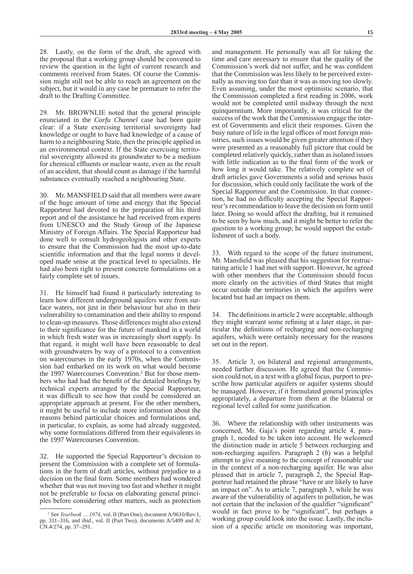28. Lastly, on the form of the draft, she agreed with the proposal that a working group should be convened to review the question in the light of current research and comments received from States. Of course the Commission might still not be able to reach an agreement on the subject, but it would in any case be premature to refer the draft to the Drafting Committee.

29. Mr. BROWNLIE noted that the general principle enunciated in the *Corfu Channel* case had been quite clear: if a State exercising territorial sovereignty had knowledge or ought to have had knowledge of a cause of harm to a neighbouring State, then the principle applied in an environmental context. If the State exercising territorial sovereignty allowed its groundwater to be a medium for chemical effluents or nuclear waste, even as the result of an accident, that should count as damage if the harmful substances eventually reached a neighbouring State.

30. Mr. MANSFIELD said that all members were aware of the huge amount of time and energy that the Special Rapporteur had devoted to the preparation of his third report and of the assistance he had received from experts from UNESCO and the Study Group of the Japanese Ministry of Foreign Affairs. The Special Rapporteur had done well to consult hydrogeologists and other experts to ensure that the Commission had the most up-to-date scientific information and that the legal norms it developed made sense at the practical level to specialists. He had also been right to present concrete formulations on a fairly complete set of issues.

31. He himself had found it particularly interesting to learn how different underground aquifers were from surface waters, not just in their behaviour but also in their vulnerability to contamination and their ability to respond to clean-up measures. Those differences might also extend to their significance for the future of mankind in a world in which fresh water was in increasingly short supply. In that regard, it might well have been reasonable to deal with groundwaters by way of a protocol to a convention on watercourses in the early 1970s, when the Commission had embarked on its work on what would become the 1997 Watercourses Convention.<sup>2</sup> But for those members who had had the benefit of the detailed briefings by technical experts arranged by the Special Rapporteur, it was difficult to see how that could be considered an appropriate approach at present. For the other members, it might be useful to include more information about the reasons behind particular choices and formulations and, in particular, to explain, as some had already suggested, why some formulations differed from their equivalents in the 1997 Watercourses Convention.

32. He supported the Special Rapporteur's decision to present the Commission with a complete set of formulations in the form of draft articles, without prejudice to a decision on the final form. Some members had wondered whether that was not moving too fast and whether it might not be preferable to focus on elaborating general principles before considering other matters, such as protection

and management. He personally was all for taking the time and care necessary to ensure that the quality of the Commission's work did not suffer, and he was confident that the Commission was less likely to be perceived externally as moving too fast than it was as moving too slowly. Even assuming, under the most optimistic scenario, that the Commission completed a first reading in 2006, work would not be completed until midway through the next quinquennium. More importantly, it was critical for the success of the work that the Commission engage the interest of Governments and elicit their responses. Given the busy nature of life in the legal offices of most foreign ministries, such issues would be given greater attention if they were presented as a reasonably full picture that could be completed relatively quickly, rather than as isolated issues with little indication as to the final form of the work or how long it would take. The relatively complete set of draft articles gave Governments a solid and serious basis for discussion, which could only facilitate the work of the Special Rapporteur and the Commission. In that connection, he had no difficulty accepting the Special Rapporteur's recommendation to leave the decision on form until later. Doing so would affect the drafting, but it remained to be seen by how much, and it might be better to refer the question to a working group; he would support the establishment of such a body.

33. With regard to the scope of the future instrument, Mr. Mansfield was pleased that his suggestion for restructuring article 1 had met with support. However, he agreed with other members that the Commission should focus more clearly on the activities of third States that might occur outside the territories in which the aquifers were located but had an impact on them.

34. The definitions in article 2 were acceptable, although they might warrant some refining at a later stage, in particular the definitions of recharging and non-recharging aquifers, which were certainly necessary for the reasons set out in the report.

35. Article 3, on bilateral and regional arrangements, needed further discussion. He agreed that the Commission could not, in a text with a global focus, purport to prescribe how particular aquifers or aquifer systems should be managed. However, if it formulated general principles appropriately, a departure from them at the bilateral or regional level called for some justification.

36. Where the relationship with other instruments was concerned, Mr. Gaja's point regarding article 4, paragraph 1, needed to be taken into account. He welcomed the distinction made in article 5 between recharging and non-recharging aquifers. Paragraph 2 (*b*) was a helpful attempt to give meaning to the concept of reasonable use in the context of a non-recharging aquifer. He was also pleased that in article 7, paragraph 2, the Special Rapporteur had retained the phrase "have or are likely to have an impact on". As to article 7, paragraph 3, while he was aware of the vulnerability of aquifers to pollution, he was not certain that the inclusion of the qualifier "significant" would in fact prove to be "significant", but perhaps a working group could look into the issue. Lastly, the inclusion of a specific article on monitoring was important,

<sup>2</sup> See *Yearbook … 1974*, vol. II (Part One), document A/9610/Rev.1, pp. 311–316, and *ibid.*, vol. II (Part Two), documents A/5409 and A/ CN.4/274, pp. 37–291.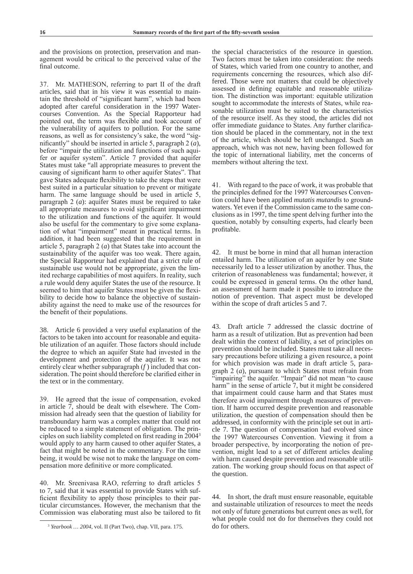and the provisions on protection, preservation and management would be critical to the perceived value of the final outcome.

37. Mr. MATHESON, referring to part II of the draft articles, said that in his view it was essential to maintain the threshold of "significant harm", which had been adopted after careful consideration in the 1997 Watercourses Convention. As the Special Rapporteur had pointed out, the term was flexible and took account of the vulnerability of aquifers to pollution. For the same reasons, as well as for consistency's sake, the word "significantly" should be inserted in article 5, paragraph 2 (*a*), before "impair the utilization and functions of such aquifer or aquifer system". Article 7 provided that aquifer States must take "all appropriate measures to prevent the causing of significant harm to other aquifer States". That gave States adequate flexibility to take the steps that were best suited in a particular situation to prevent or mitigate harm. The same language should be used in article 5, paragraph 2 (*a*): aquifer States must be required to take all appropriate measures to avoid significant impairment to the utilization and functions of the aquifer. It would also be useful for the commentary to give some explanation of what "impairment" meant in practical terms. In addition, it had been suggested that the requirement in article 5, paragraph 2 (*a*) that States take into account the sustainability of the aquifer was too weak. There again, the Special Rapporteur had explained that a strict rule of sustainable use would not be appropriate, given the limited recharge capabilities of most aquifers. In reality, such a rule would deny aquifer States the use of the resource. It seemed to him that aquifer States must be given the flexibility to decide how to balance the objective of sustainability against the need to make use of the resources for the benefit of their populations.

38. Article 6 provided a very useful explanation of the factors to be taken into account for reasonable and equitable utilization of an aquifer. Those factors should include the degree to which an aquifer State had invested in the development and protection of the aquifer. It was not entirely clear whether subparagraph (*f* ) included that consideration. The point should therefore be clarified either in the text or in the commentary.

39. He agreed that the issue of compensation, evoked in article 7, should be dealt with elsewhere. The Commission had already seen that the question of liability for transboundary harm was a complex matter that could not be reduced to a simple statement of obligation. The principles on such liability completed on first reading in 2004<sup>3</sup> would apply to any harm caused to other aquifer States, a fact that might be noted in the commentary. For the time being, it would be wise not to make the language on compensation more definitive or more complicated.

40. Mr. Sreenivasa RAO, referring to draft articles 5 to 7, said that it was essential to provide States with sufficient flexibility to apply those principles to their particular circumstances. However, the mechanism that the Commission was elaborating must also be tailored to fit the special characteristics of the resource in question. Two factors must be taken into consideration: the needs of States, which varied from one country to another, and requirements concerning the resources, which also differed. Those were not matters that could be objectively assessed in defining equitable and reasonable utilization. The distinction was important: equitable utilization sought to accommodate the interests of States, while reasonable utilization must be suited to the characteristics of the resource itself. As they stood, the articles did not offer immediate guidance to States. Any further clarification should be placed in the commentary, not in the text of the article, which should be left unchanged. Such an approach, which was not new, having been followed for the topic of international liability, met the concerns of members without altering the text.

41. With regard to the pace of work, it was probable that the principles defined for the 1997 Watercourses Convention could have been applied *mutatis mutandis* to groundwaters. Yet even if the Commission came to the same conclusions as in 1997, the time spent delving further into the question, notably by consulting experts, had clearly been profitable.

42. It must be borne in mind that all human interaction entailed harm. The utilization of an aquifer by one State necessarily led to a lesser utilization by another. Thus, the criterion of reasonableness was fundamental; however, it could be expressed in general terms. On the other hand, an assessment of harm made it possible to introduce the notion of prevention. That aspect must be developed within the scope of draft articles 5 and 7.

43. Draft article 7 addressed the classic doctrine of harm as a result of utilization. But as prevention had been dealt within the context of liability, a set of principles on prevention should be included. States must take all necessary precautions before utilizing a given resource, a point for which provision was made in draft article 5, paragraph 2 (*a*), pursuant to which States must refrain from "impairing" the aquifer. "Impair" did not mean "to cause harm" in the sense of article 7, but it might be considered that impairment could cause harm and that States must therefore avoid impairment through measures of prevention. If harm occurred despite prevention and reasonable utilization, the question of compensation should then be addressed, in conformity with the principle set out in article 7. The question of compensation had evolved since the 1997 Watercourses Convention. Viewing it from a broader perspective, by incorporating the notion of prevention, might lead to a set of different articles dealing with harm caused despite prevention and reasonable utilization. The working group should focus on that aspect of the question.

44. In short, the draft must ensure reasonable, equitable and sustainable utilization of resources to meet the needs not only of future generations but current ones as well, for what people could not do for themselves they could not do for others.

<sup>3</sup> *Yearbook … 2004*, vol. II (Part Two), chap. VII, para. 175.